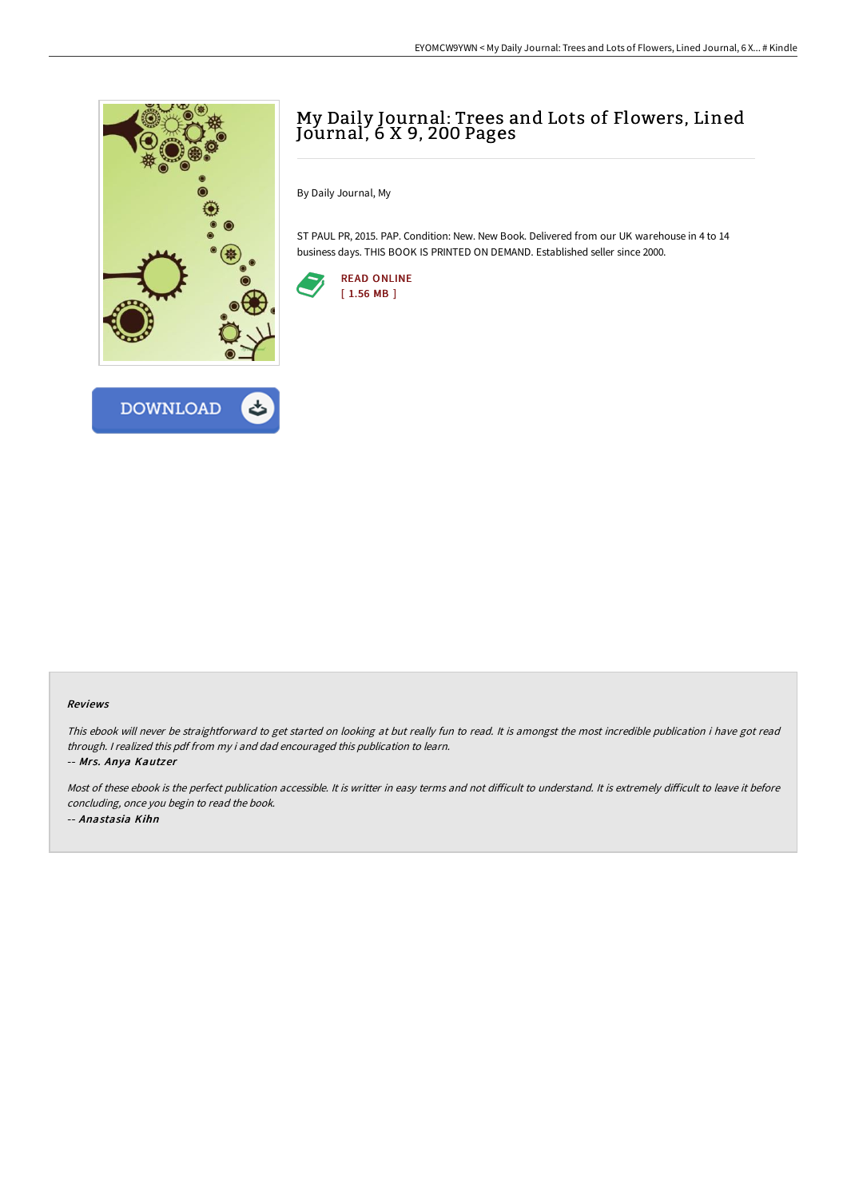



## My Daily Journal: Trees and Lots of Flowers, Lined Journal, 6 X 9, 200 Pages

By Daily Journal, My

ST PAUL PR, 2015. PAP. Condition: New. New Book. Delivered from our UK warehouse in 4 to 14 business days. THIS BOOK IS PRINTED ON DEMAND. Established seller since 2000.



## Reviews

This ebook will never be straightforward to get started on looking at but really fun to read. It is amongst the most incredible publication i have got read through. <sup>I</sup> realized this pdf from my i and dad encouraged this publication to learn.

-- Mrs. Anya Kautzer

Most of these ebook is the perfect publication accessible. It is writter in easy terms and not difficult to understand. It is extremely difficult to leave it before concluding, once you begin to read the book. -- Anastasia Kihn